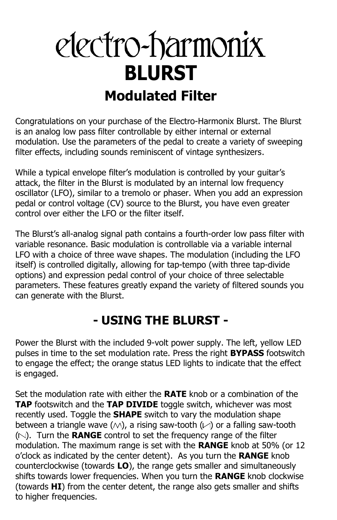# electro-harmonix **BLURST Modulated Filter**

Congratulations on your purchase of the Electro-Harmonix Blurst. The Blurst is an analog low pass filter controllable by either internal or external modulation. Use the parameters of the pedal to create a variety of sweeping filter effects, including sounds reminiscent of vintage synthesizers.

While a typical envelope filter's modulation is controlled by your guitar's attack, the filter in the Blurst is modulated by an internal low frequency oscillator (LFO), similar to a tremolo or phaser. When you add an expression pedal or control voltage (CV) source to the Blurst, you have even greater control over either the LFO or the filter itself.

The Blurst's all-analog signal path contains a fourth-order low pass filter with variable resonance. Basic modulation is controllable via a variable internal LFO with a choice of three wave shapes. The modulation (including the LFO itself) is controlled digitally, allowing for tap-tempo (with three tap-divide options) and expression pedal control of your choice of three selectable parameters. These features greatly expand the variety of filtered sounds you can generate with the Blurst.

#### **- USING THE BLURST -**

Power the Blurst with the included 9-volt power supply. The left, yellow LED pulses in time to the set modulation rate. Press the right **BYPASS** footswitch to engage the effect; the orange status LED lights to indicate that the effect is engaged.

Set the modulation rate with either the **RATE** knob or a combination of the **TAP** footswitch and the **TAP DIVIDE** toggle switch, whichever was most recently used. Toggle the **SHAPE** switch to vary the modulation shape between a triangle wave ( $\wedge$ ), a rising saw-tooth ( $\vee$ ) or a falling saw-tooth ( ). Turn the **RANGE** control to set the frequency range of the filter modulation. The maximum range is set with the **RANGE** knob at 50% (or 12 o'clock as indicated by the center detent). As you turn the **RANGE** knob counterclockwise (towards **LO**), the range gets smaller and simultaneously shifts towards lower frequencies. When you turn the **RANGE** knob clockwise (towards **HI**) from the center detent, the range also gets smaller and shifts to higher frequencies.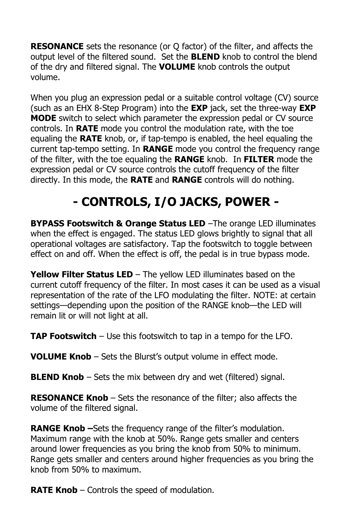**RESONANCE** sets the resonance (or Q factor) of the filter, and affects the output level of the filtered sound. Set the **BLEND** knob to control the blend of the dry and filtered signal. The **VOLUME** knob controls the output volume.

When you plug an expression pedal or a suitable control voltage (CV) source (such as an EHX 8-Step Program) into the **EXP** jack, set the three-way **EXP MODE** switch to select which parameter the expression pedal or CV source controls. In **RATE** mode you control the modulation rate, with the toe equaling the **RATE** knob, or, if tap-tempo is enabled, the heel equaling the current tap-tempo setting. In **RANGE** mode you control the frequency range of the filter, with the toe equaling the **RANGE** knob. In **FILTER** mode the expression pedal or CV source controls the cutoff frequency of the filter directly. In this mode, the **RATE** and **RANGE** controls will do nothing.

## **- CONTROLS, I/O JACKS, POWER -**

**BYPASS Footswitch & Orange Status LED** –The orange LED illuminates when the effect is engaged. The status LED glows brightly to signal that all operational voltages are satisfactory. Tap the footswitch to toggle between effect on and off. When the effect is off, the pedal is in true bypass mode.

**Yellow Filter Status LED** – The yellow LED illuminates based on the current cutoff frequency of the filter. In most cases it can be used as a visual representation of the rate of the LFO modulating the filter. NOTE: at certain settings—depending upon the position of the RANGE knob—the LED will remain lit or will not light at all.

**TAP Footswitch** – Use this footswitch to tap in a tempo for the LFO.

**VOLUME Knob** – Sets the Blurst's output volume in effect mode.

**BLEND Knob** – Sets the mix between dry and wet (filtered) signal.

**RESONANCE Knob** – Sets the resonance of the filter; also affects the volume of the filtered signal.

**RANGE Knob –**Sets the frequency range of the filter's modulation. Maximum range with the knob at 50%. Range gets smaller and centers around lower frequencies as you bring the knob from 50% to minimum. Range gets smaller and centers around higher frequencies as you bring the knob from 50% to maximum.

**RATE Knob** – Controls the speed of modulation.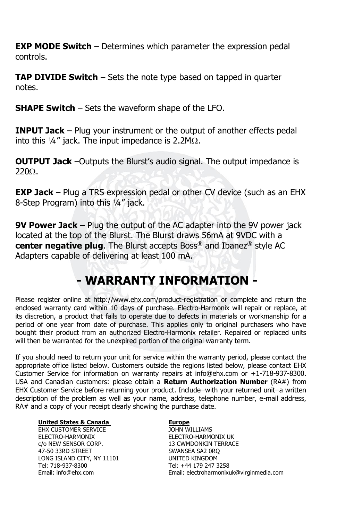**EXP MODE Switch** – Determines which parameter the expression pedal controls.

**TAP DIVIDE Switch** – Sets the note type based on tapped in quarter notes.

**SHAPE Switch** – Sets the waveform shape of the LFO.

**INPUT Jack** – Plug your instrument or the output of another effects pedal into this  $\frac{1}{4}$ " jack. The input impedance is 2.2M $\Omega$ .

**OUTPUT Jack** –Outputs the Blurst's audio signal. The output impedance is  $2200.$ 

**EXP Jack** – Plug a TRS expression pedal or other CV device (such as an EHX 8-Step Program) into this ¼" jack.

**9V Power Jack** – Plug the output of the AC adapter into the 9V power jack located at the top of the Blurst. The Blurst draws 56mA at 9VDC with a **center negative plug**. The Blurst accepts Boss® and Ibanez® style AC Adapters capable of delivering at least 100 mA.

### **- WARRANTY INFORMATION -**

Please register online at http://www.ehx.com/product-registration or complete and return the enclosed warranty card within 10 days of purchase. Electro-Harmonix will repair or replace, at its discretion, a product that fails to operate due to defects in materials or workmanship for a period of one year from date of purchase. This applies only to original purchasers who have bought their product from an authorized Electro-Harmonix retailer. Repaired or replaced units will then be warranted for the unexpired portion of the original warranty term.

If you should need to return your unit for service within the warranty period, please contact the appropriate office listed below. Customers outside the regions listed below, please contact EHX Customer Service for information on warranty repairs at info@ehx.com or +1-718-937-8300. USA and Canadian customers: please obtain a **Return Authorization Number** (RA#) from EHX Customer Service before returning your product. Include-with your returned unit-a written description of the problem as well as your name, address, telephone number, e-mail address, RA# and a copy of your receipt clearly showing the purchase date.

#### **United States & Canada Europe**

EHX CUSTOMER SERVICE JOHN WILLIAMS ELECTRO-HARMONIX ELECTRO-HARMONIX UK c/o NEW SENSOR CORP. 13 CWMDONKIN TERRACE 47-50 33RD STREET SWANSEA SA2 ORO LONG ISLAND CITY, NY 11101 UNITED KINGDOM Tel: 718-937-8300 Tel: +44 179 247 3258

Email: info@ehx.com Email: electroharmonixuk@virginmedia.com